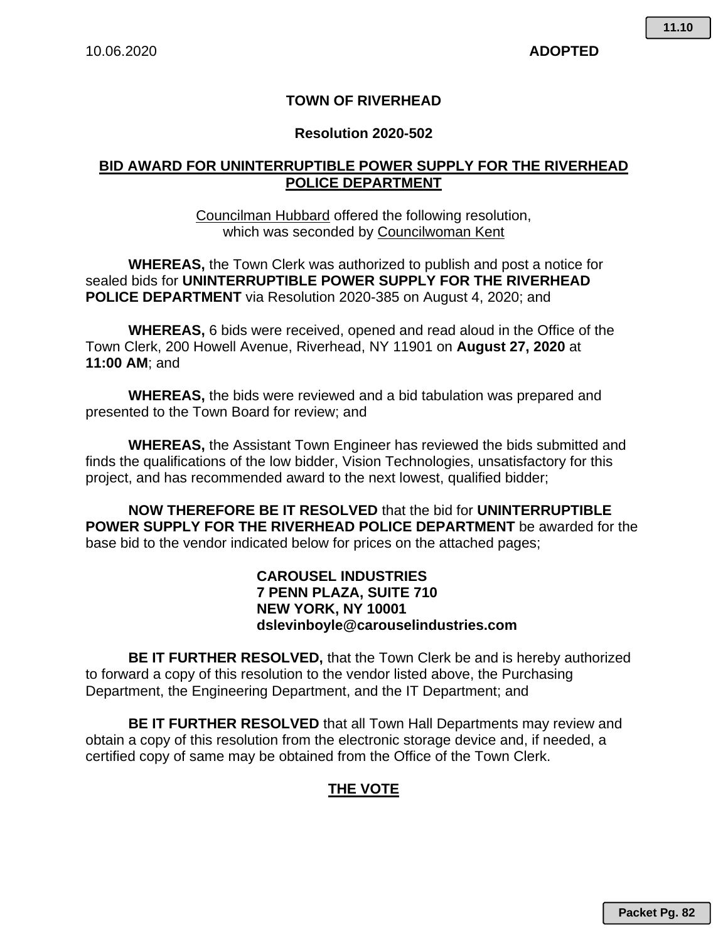#### **TOWN OF RIVERHEAD**

#### **Resolution 2020-502**

#### **BID AWARD FOR UNINTERRUPTIBLE POWER SUPPLY FOR THE RIVERHEAD POLICE DEPARTMENT**

Councilman Hubbard offered the following resolution, which was seconded by Councilwoman Kent

**WHEREAS,** the Town Clerk was authorized to publish and post a notice for sealed bids for **UNINTERRUPTIBLE POWER SUPPLY FOR THE RIVERHEAD POLICE DEPARTMENT** via Resolution 2020-385 on August 4, 2020; and

**WHEREAS,** 6 bids were received, opened and read aloud in the Office of the Town Clerk, 200 Howell Avenue, Riverhead, NY 11901 on **August 27, 2020** at **11:00 AM**; and

**WHEREAS,** the bids were reviewed and a bid tabulation was prepared and presented to the Town Board for review; and

**WHEREAS,** the Assistant Town Engineer has reviewed the bids submitted and finds the qualifications of the low bidder, Vision Technologies, unsatisfactory for this project, and has recommended award to the next lowest, qualified bidder;

**NOW THEREFORE BE IT RESOLVED** that the bid for **UNINTERRUPTIBLE POWER SUPPLY FOR THE RIVERHEAD POLICE DEPARTMENT** be awarded for the base bid to the vendor indicated below for prices on the attached pages;

#### **CAROUSEL INDUSTRIES 7 PENN PLAZA, SUITE 710 NEW YORK, NY 10001 dslevinboyle@carouselindustries.com**

**BE IT FURTHER RESOLVED,** that the Town Clerk be and is hereby authorized to forward a copy of this resolution to the vendor listed above, the Purchasing Department, the Engineering Department, and the IT Department; and

**BE IT FURTHER RESOLVED** that all Town Hall Departments may review and obtain a copy of this resolution from the electronic storage device and, if needed, a certified copy of same may be obtained from the Office of the Town Clerk.

#### **THE VOTE**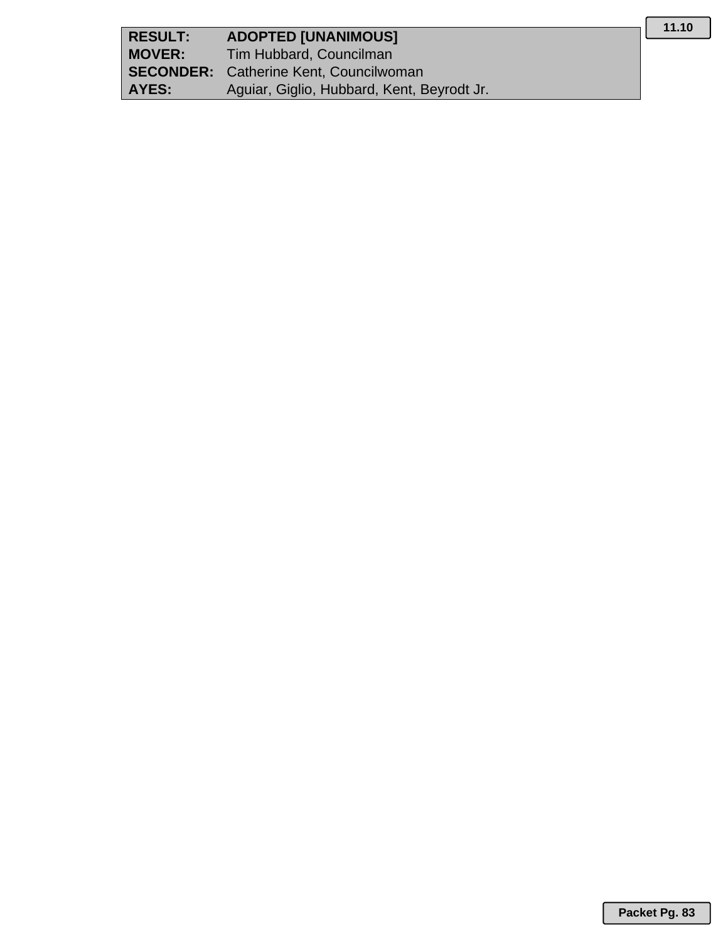| <b>RESULT:</b> | <b>ADOPTED [UNANIMOUS]</b>                    |
|----------------|-----------------------------------------------|
| <b>MOVER:</b>  | Tim Hubbard, Councilman                       |
|                | <b>SECONDER:</b> Catherine Kent, Councilwoman |
| AYES:          | Aguiar, Giglio, Hubbard, Kent, Beyrodt Jr.    |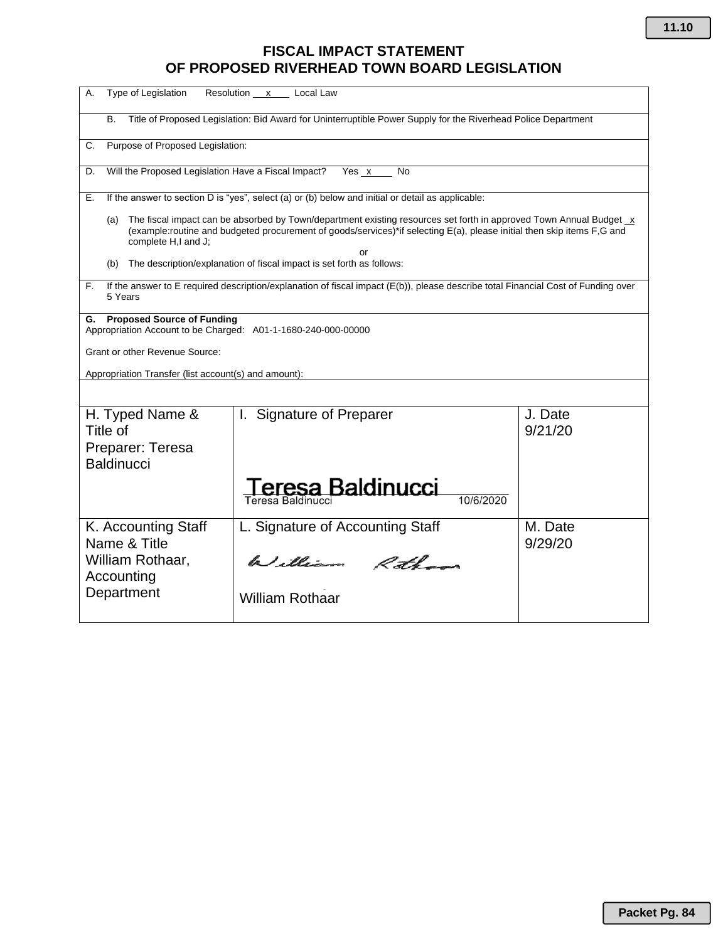### **FISCAL IMPACT STATEMENT OF PROPOSED RIVERHEAD TOWN BOARD LEGISLATION**

| Type of Legislation<br>А.                                                                                                                                                                                                                                                  | Resolution x Local Law                             |                    |  |  |
|----------------------------------------------------------------------------------------------------------------------------------------------------------------------------------------------------------------------------------------------------------------------------|----------------------------------------------------|--------------------|--|--|
| Title of Proposed Legislation: Bid Award for Uninterruptible Power Supply for the Riverhead Police Department<br>В.                                                                                                                                                        |                                                    |                    |  |  |
| Purpose of Proposed Legislation:<br>C.                                                                                                                                                                                                                                     |                                                    |                    |  |  |
| Will the Proposed Legislation Have a Fiscal Impact?<br>Yes x<br>D.<br>No                                                                                                                                                                                                   |                                                    |                    |  |  |
| If the answer to section D is "yes", select (a) or (b) below and initial or detail as applicable:<br>Е.                                                                                                                                                                    |                                                    |                    |  |  |
| The fiscal impact can be absorbed by Town/department existing resources set forth in approved Town Annual Budget x<br>(a)<br>(example:routine and budgeted procurement of goods/services)*if selecting E(a), please initial then skip items F,G and<br>complete H,I and J; |                                                    |                    |  |  |
| or<br>The description/explanation of fiscal impact is set forth as follows:<br>(b)                                                                                                                                                                                         |                                                    |                    |  |  |
| If the answer to E required description/explanation of fiscal impact (E(b)), please describe total Financial Cost of Funding over<br>F.<br>5 Years                                                                                                                         |                                                    |                    |  |  |
| <b>Proposed Source of Funding</b><br>G.<br>Appropriation Account to be Charged: A01-1-1680-240-000-00000                                                                                                                                                                   |                                                    |                    |  |  |
| <b>Grant or other Revenue Source:</b>                                                                                                                                                                                                                                      |                                                    |                    |  |  |
| Appropriation Transfer (list account(s) and amount):                                                                                                                                                                                                                       |                                                    |                    |  |  |
|                                                                                                                                                                                                                                                                            |                                                    |                    |  |  |
| H. Typed Name &<br>Title of<br>Preparer: Teresa<br><b>Baldinucci</b>                                                                                                                                                                                                       | I. Signature of Preparer                           | J. Date<br>9/21/20 |  |  |
|                                                                                                                                                                                                                                                                            | eresa Baldinucci<br>10/6/2020<br>Teresa Baldinucci |                    |  |  |
| K. Accounting Staff<br>Name & Title                                                                                                                                                                                                                                        | L. Signature of Accounting Staff                   | M. Date<br>9/29/20 |  |  |
| William Rothaar,<br>Accounting                                                                                                                                                                                                                                             | William Rotham                                     |                    |  |  |
| Department                                                                                                                                                                                                                                                                 | <b>William Rothaar</b>                             |                    |  |  |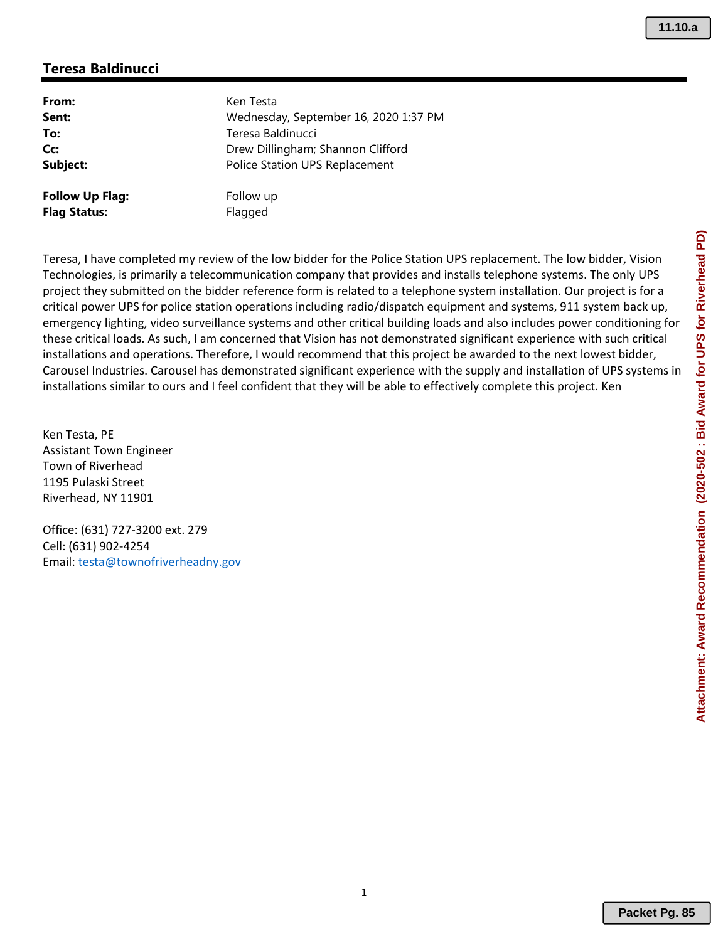#### **Teresa Baldinucci**

| From:                  | Ken Testa                             |
|------------------------|---------------------------------------|
| Sent:                  | Wednesday, September 16, 2020 1:37 PM |
| To:                    | Teresa Baldinucci                     |
| Cc:                    | Drew Dillingham; Shannon Clifford     |
| Subject:               | Police Station UPS Replacement        |
| <b>Follow Up Flag:</b> | Follow up                             |
| <b>Flag Status:</b>    | Flagged                               |

Teresa, I have completed my review of the low bidder for the Police Station UPS replacement. The low bidder, Vision Technologies, is primarily a telecommunication company that provides and installs telephone systems. The only UPS project they submitted on the bidder reference form is related to a telephone system installation. Our project is for a critical power UPS for police station operations including radio/dispatch equipment and systems, 911 system back up, emergency lighting, video surveillance systems and other critical building loads and also includes power conditioning for these critical loads. As such, I am concerned that Vision has not demonstrated significant experience with such critical installations and operations. Therefore, I would recommend that this project be awarded to the next lowest bidder, Carousel Industries. Carousel has demonstrated significant experience with the supply and installation of UPS systems in installations similar to ours and I feel confident that they will be able to effectively complete this project. Ken

Ken Testa, PE Assistant Town Engineer Town of Riverhead 1195 Pulaski Street Riverhead, NY 11901

Office: (631) 727‐3200 ext. 279 Cell: (631) 902‐4254 Email: testa@townofriverheadny.gov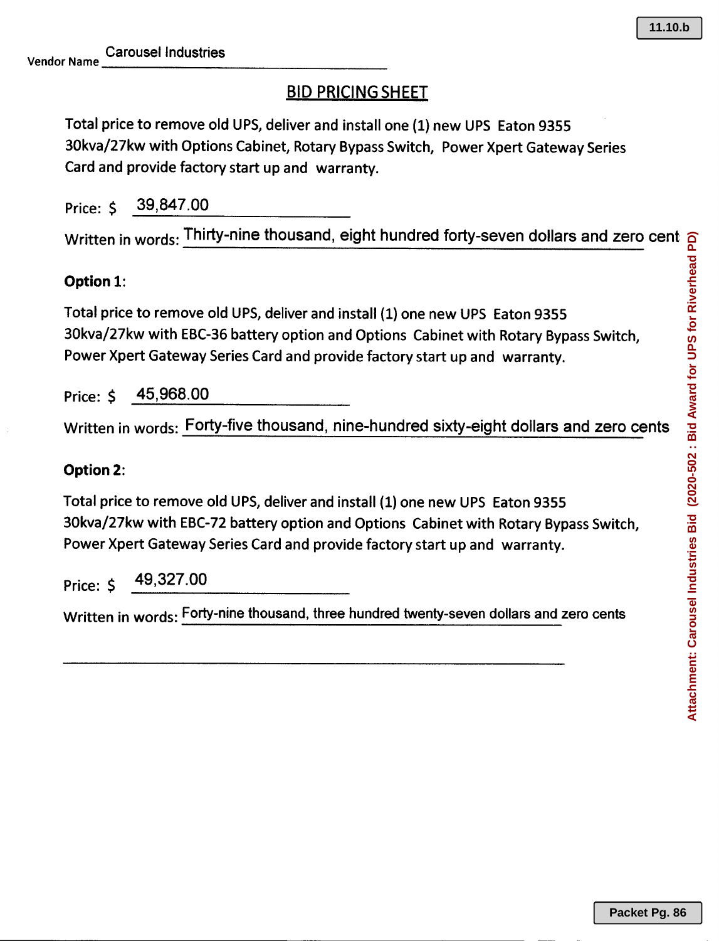# BID PRICING SHEET

Total price to remove old UPS, deliver and install one (1) new UPS Eaton 9355 30kva/27kw with Options Cabinet, Rotary Bypass Switch, Power Xpert Gateway Series Card and provide factory start up and warranty.

Price: \$ 39,847.00

 ${\sf Written}$  in  ${\sf words} \colon$  Thirty-nine thousand, eight hundred forty-seven dollars and zero cents

## **Option** 1:

Total price to remove old UPS, deliver and install (1) one new UPS Eaton 9355 30kva/27kw with EBC-36 battery option and Options Cabinet with Rotary Bypass Switch, Power Xpert Gateway Series Card and provide factory start up and warranty

Price: \$ <u>45,968.00</u>

Written in words: Forty-five thousand, nine-hundred sixty-eight dollars and zero cents

### **Option** 2:

Total price to remove old UPS, deliver and install (1) one new UPS Eaton 9355 30kva/27kw with EBC-72 battery option and Options Cabinet with Rotary Bypass Switch, Power Xpert Gateway Series Card and provide factory start up and warranty

Price: \$ 49,327.00

Written in words: Forty-nine thousand, three hundred twenty-seven dollars and zero cents